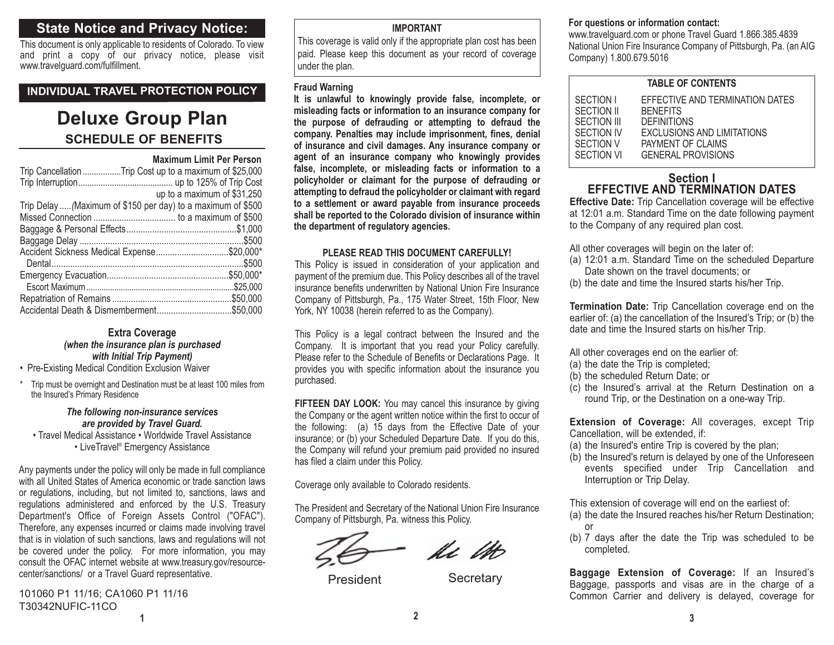## **State Notice and Privacy Notice:**

This document is only applicable to residents of Colorado. To view and print a copy of our privacy notice, please visit www.travelguard.com/fulfillment.

### **INDIVIDUAL TRAVEL PROTECTION POLICY**

# **SCHEDULE OF BENEFITSDeluxe Group Plan**

#### **Maximum Limit Per Person**

| Trip Cancellation Trip Cost up to a maximum of \$25,000      |                             |
|--------------------------------------------------------------|-----------------------------|
|                                                              |                             |
|                                                              | up to a maximum of \$31,250 |
| Trip Delay  (Maximum of \$150 per day) to a maximum of \$500 |                             |
|                                                              |                             |
|                                                              |                             |
|                                                              |                             |
| Accident Sickness Medical Expense\$20,000*                   |                             |
|                                                              |                             |
|                                                              |                             |
|                                                              |                             |
|                                                              |                             |
|                                                              |                             |
|                                                              |                             |

#### **Extra Coverage** *(when the insurance plan is purchased with Initial Trip Payment)*

• Pre-Existing Medical Condition Exclusion Waiver

\* Trip must be overnight and Destination must be at least 100 miles from the Insured's Primary Residence

#### *The following non-insurance services are provided by Travel Guard.*

• Travel Medical Assistance • Worldwide Travel Assistance • LiveTravel® Emergency Assistance

Any payments under the policy will only be made in full compliance with all United States of America economic or trade sanction lawsor regulations, including, but not limited to, sanctions, laws and regulations administered and enforced by the U.S. Treasury Department's Office of Foreign Assets Control ("OFAC"). Therefore, any expenses incurred or claims made involving travel that is in violation of such sanctions, laws and regulations will not be covered under the policy. For more information, you may consult the OFAC internet website at www.treasury.gov/resourcecenter/sanctions/ or a Travel Guard representative.

**1**101060 P1 11/16; CA1060 P1 11/16 T30342NUFIC-11CO

## **IMPORTANT**

This coverage is valid only if the appropriate plan cost has been paid. Please keep this document as your record of coverage under the plan.

#### **Fraud Warning**

**It is unlawful to knowingly provide false, incomplete, or misleading facts or information to an insurance company for the purpose of defrauding or attempting to defraud the company. Penalties may include imprisonment, fines, denial of insurance and civil damages. Any insurance company or agent of an insurance company who knowingly provides false, incomplete, or misleading facts or information to a policyholder or claimant for the purpose of defrauding or attempting to defraud the policyholder or claimant with regard to a settlement or award payable from insurance proceeds shall be reported to the Colorado division of insurance within the department of regulatory agencies.**

#### **PLEASE READ THIS DOCUMENT CAREFULLY!**

This Policy is issued in consideration of your application and payment of the premium due. This Policy describes all of the travel insurance benefits underwritten by National Union Fire Insurance Company of Pittsburgh, Pa., 175 Water Street, 15th Floor, New York, NY 10038 (herein referred to as the Company).

This Policy is a legal contract between the Insured and the Company. It is important that you read your Policy carefully. Please refer to the Schedule of Benefits or Declarations Page. It provides you with specific information about the insurance you purchased.

**FIFTEEN DAY LOOK:** You may cancel this insurance by giving the Company or the agent written notice within the first to occur of the following: (a) 15 days from the Effective Date of your insurance; or (b) your Scheduled Departure Date. If you do this, the Company will refund your premium paid provided no insured has filed a claim under this Policy.

Coverage only available to Colorado residents.

The President and Secretary of the National Union Fire Insurance Company of Pittsburgh, Pa. witness this Policy.

**2**

le Ut

President Secretary

## **For questions or information contact:**

www.travelguard.com or phone Travel Guard 1.866.385.4839 National Union Fire Insurance Company of Pittsburgh, Pa. (an AIG Company) 1.800.679.5016

#### **TABLE OF CONTENTS**

| SECTION I   | EFFECTIVE AND TERMINATION DATES |  |
|-------------|---------------------------------|--|
| SECTION II  | <b>BENEFITS</b>                 |  |
| SECTION III | <b>DEFINITIONS</b>              |  |
| SECTION IV  | EXCLUSIONS AND LIMITATIONS      |  |
| SECTION V   | PAYMENT OF CLAIMS               |  |
| SECTION VI  | <b>GENERAL PROVISIONS</b>       |  |
|             |                                 |  |

## **Section IEFFECTIVE AND TERMINATION DATES**

**Effective Date:** Trip Cancellation coverage will be effective at 12:01 a.m. Standard Time on the date following payment to the Company of any required plan cost.

All other coverages will begin on the later of:

- (a) 12:01 a.m. Standard Time on the scheduled Departure Date shown on the travel documents; or
- (b) the date and time the Insured starts his/her Trip.

**Termination Date:** Trip Cancellation coverage end on the earlier of: (a) the cancellation of the Insured's Trip; or (b) the date and time the Insured starts on his/her Trip.

- All other coverages end on the earlier of:
- (a) the date the Trip is completed;
- (b) the scheduled Return Date; or
- (c) the Insured's arrival at the Return Destination on a round Trip, or the Destination on a one-way Trip.

**Extension of Coverage:** All coverages, except Trip Cancellation, will be extended, if:

- (a) the Insured's entire Trip is covered by the plan;
- (b) the Insured's return is delayed by one of the Unforeseen events specified under Trip Cancellation and Interruption or Trip Delay.

This extension of coverage will end on the earliest of:

- (a) the date the Insured reaches his/her Return Destination; or
- (b) 7 days after the date the Trip was scheduled to be completed.

**Baggage Extension of Coverage:** If an Insured's Baggage, passports and visas are in the charge of a Common Carrier and delivery is delayed, coverage for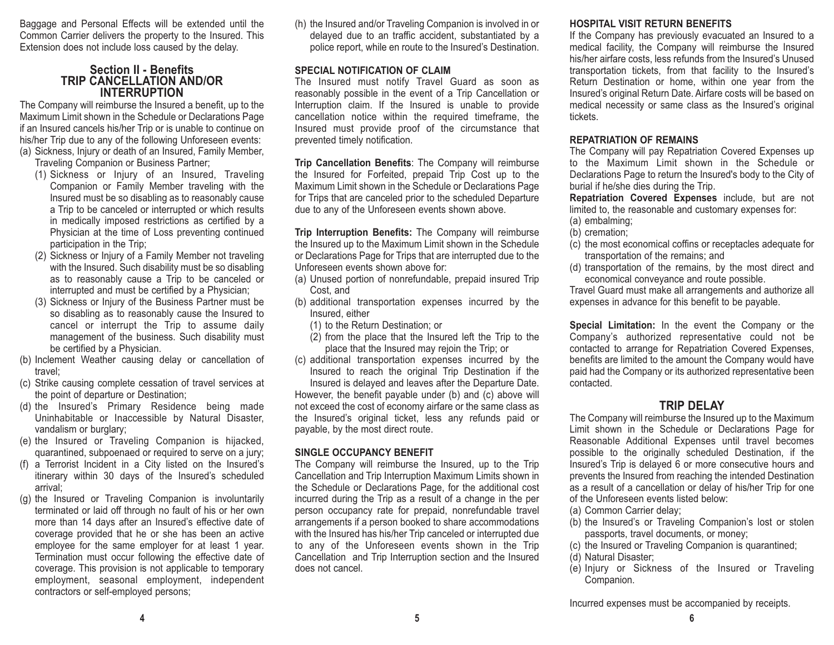Baggage and Personal Effects will be extended until the Common Carrier delivers the property to the Insured. This Extension does not include loss caused by the delay.

#### **Section II - Benefits TRIP CANCELLATION AND/ORINTERRUPTION**

The Company will reimburse the Insured a benefit, up to the Maximum Limit shown in the Schedule or Declarations Page if an Insured cancels his/her Trip or is unable to continue on his/her Trip due to any of the following Unforeseen events: (a) Sickness, Injury or death of an Insured, Family Member,

Traveling Companion or Business Partner;

- (1) Sickness or Injury of an Insured, Traveling Companion or Family Member traveling with the Insured must be so disabling as to reasonably cause a Trip to be canceled or interrupted or which results in medically imposed restrictions as certified by a Physician at the time of Loss preventing continued participation in the Trip;
- (2) Sickness or Injury of a Family Member not traveling with the Insured. Such disability must be so disabling as to reasonably cause a Trip to be canceled or interrupted and must be certified by a Physician;
- (3) Sickness or Injury of the Business Partner must be so disabling as to reasonably cause the Insured to cancel or interrupt the Trip to assume daily management of the business. Such disability must be certified by a Physician.
- (b) Inclement Weather causing delay or cancellation of travel;
- (c) Strike causing complete cessation of travel services at the point of departure or Destination;
- (d) the Insured's Primary Residence being made Uninhabitable or Inaccessible by Natural Disaster, vandalism or burglary;
- (e) the Insured or Traveling Companion is hijacked, quarantined, subpoenaed or required to serve on a jury;
- (f) a Terrorist Incident in a City listed on the Insured's itinerary within 30 days of the Insured's scheduled arrival;
- (g) the Insured or Traveling Companion is involuntarily terminated or laid off through no fault of his or her own more than 14 days after an Insured's effective date of coverage provided that he or she has been an active employee for the same employer for at least 1 year. Termination must occur following the effective date of coverage. This provision is not applicable to temporary employment, seasonal employment, independent contractors or self-employed persons;

(h) the Insured and/or Traveling Companion is involved in or delayed due to an traffic accident, substantiated by a police report, while en route to the Insured's Destination.

#### **SPECIAL NOTIFICATION OF CLAIM**

 The Insured must notify Travel Guard as soon as reasonably possible in the event of a Trip Cancellation or Interruption claim. If the Insured is unable to provide cancellation notice within the required timeframe, the Insured must provide proof of the circumstance that prevented timely notification.

**Trip Cancellation Benefits**: The Company will reimburse the Insured for Forfeited, prepaid Trip Cost up to the Maximum Limit shown in the Schedule or Declarations Page for Trips that are canceled prior to the scheduled Departure due to any of the Unforeseen events shown above.

**Trip Interruption Benefits:** The Company will reimburse the Insured up to the Maximum Limit shown in the Schedule or Declarations Page for Trips that are interrupted due to the Unforeseen events shown above for:

- (a) Unused portion of nonrefundable, prepaid insured Trip Cost, and
- (b) additional transportation expenses incurred by the Insured, either
	- (1) to the Return Destination; or
	- (2) from the place that the Insured left the Trip to the place that the Insured may rejoin the Trip; or
- (c) additional transportation expenses incurred by the Insured to reach the original Trip Destination if the

Insured is delayed and leaves after the Departure Date. However, the benefit payable under (b) and (c) above will not exceed the cost of economy airfare or the same class as the Insured's original ticket, less any refunds paid or payable, by the most direct route.

## **SINGLE OCCUPANCY BENEFIT**

The Company will reimburse the Insured, up to the Trip Cancellation and Trip Interruption Maximum Limits shown in the Schedule or Declarations Page, for the additional cost incurred during the Trip as a result of a change in the per person occupancy rate for prepaid, nonrefundable travel arrangements if a person booked to share accommodations with the Insured has his/her Trip canceled or interrupted due to any of the Unforeseen events shown in the Trip Cancellation and Trip Interruption section and the Insured does not cancel.

### **HOSPITAL VISIT RETURN BENEFITS**

If the Company has previously evacuated an Insured to a medical facility, the Company will reimburse the Insured his/her airfare costs, less refunds from the Insured's Unused transportation tickets, from that facility to the Insured's Return Destination or home, within one year from the Insured's original Return Date. Airfare costs will be based on medical necessity or same class as the Insured's original tickets.

#### **REPATRIATION OF REMAINS**

The Company will pay Repatriation Covered Expenses up to the Maximum Limit shown in the Schedule or Declarations Page to return the Insured's body to the City of burial if he/she dies during the Trip.

**Repatriation Covered Expenses** include, but are not limited to, the reasonable and customary expenses for: (a) embalming;

- (b) cremation;
- (c) the most economical coffins or receptacles adequate for transportation of the remains; and
- (d) transportation of the remains, by the most direct and economical conveyance and route possible.

Travel Guard must make all arrangements and authorize all expenses in advance for this benefit to be payable.

**Special Limitation:** In the event the Company or the Company's authorized representative could not be contacted to arrange for Repatriation Covered Expenses, benefits are limited to the amount the Company would have paid had the Company or its authorized representative been contacted.

## **TRIP DELAY**

The Company will reimburse the Insured up to the Maximum Limit shown in the Schedule or Declarations Page for Reasonable Additional Expenses until travel becomes possible to the originally scheduled Destination, if the Insured's Trip is delayed 6 or more consecutive hours and prevents the Insured from reaching the intended Destination as a result of a cancellation or delay of his/her Trip for one of the Unforeseen events listed below:

- (a) Common Carrier delay;
- (b) the Insured's or Traveling Companion's lost or stolen passports, travel documents, or money;
- (c) the Insured or Traveling Companion is quarantined;
- (d) Natural Disaster;
- (e) Injury or Sickness of the Insured or Traveling Companion.

Incurred expenses must be accompanied by receipts.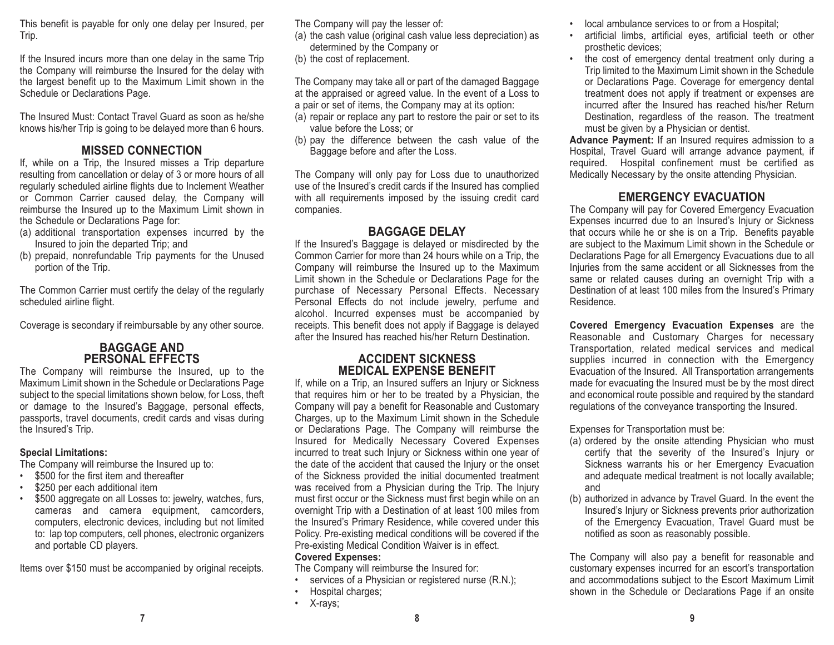This benefit is payable for only one delay per Insured, per Trip.

If the Insured incurs more than one delay in the same Trip the Company will reimburse the Insured for the delay with the largest benefit up to the Maximum Limit shown in the Schedule or Declarations Page.

The Insured Must: Contact Travel Guard as soon as he/sheknows his/her Trip is going to be delayed more than 6 hours.

## **MISSED CONNECTION**

If, while on a Trip, the Insured misses a Trip departure resulting from cancellation or delay of 3 or more hours of all regularly scheduled airline flights due to Inclement Weather or Common Carrier caused delay, the Company will reimburse the Insured up to the Maximum Limit shown in the Schedule or Declarations Page for:

- (a) additional transportation expenses incurred by the Insured to join the departed Trip; and
- (b) prepaid, nonrefundable Trip payments for the Unused portion of the Trip.

The Common Carrier must certify the delay of the regularly scheduled airline flight.

Coverage is secondary if reimbursable by any other source.

## **BAGGAGE AND PERSONAL EFFECTS**

The Company will reimburse the Insured, up to the Maximum Limit shown in the Schedule or Declarations Page subject to the special limitations shown below, for Loss, theft or damage to the Insured's Baggage, personal effects, passports, travel documents, credit cards and visas during the Insured's Trip.

## **Special Limitations:**

The Company will reimburse the Insured up to:

- •\$500 for the first item and thereafter
- •\$250 per each additional item
- •\$500 aggregate on all Losses to: jewelry, watches, furs, cameras and camera equipment, camcorders, computers, electronic devices, including but not limited to: lap top computers, cell phones, electronic organizers and portable CD players.

Items over \$150 must be accompanied by original receipts.

The Company will pay the lesser of:

- (a) the cash value (original cash value less depreciation) as determined by the Company or
- (b) the cost of replacement.

The Company may take all or part of the damaged Baggage at the appraised or agreed value. In the event of a Loss to a pair or set of items, the Company may at its option:

- (a) repair or replace any part to restore the pair or set to its value before the Loss; or
- (b) pay the difference between the cash value of the Baggage before and after the Loss.

The Company will only pay for Loss due to unauthorized use of the Insured's credit cards if the Insured has complied with all requirements imposed by the issuing credit card companies.

## **BAGGAGE DELAY**

 If the Insured's Baggage is delayed or misdirected by the Common Carrier for more than 24 hours while on a Trip, the Company will reimburse the Insured up to the Maximum Limit shown in the Schedule or Declarations Page for the purchase of Necessary Personal Effects. Necessary Personal Effects do not include jewelry, perfume and alcohol. Incurred expenses must be accompanied by receipts. This benefit does not apply if Baggage is delayed after the Insured has reached his/her Return Destination.

## **ACCIDENT SICKNESSMEDICAL EXPENSE BENEFIT**

If, while on a Trip, an Insured suffers an Injury or Sickness that requires him or her to be treated by a Physician, the Company will pay a benefit for Reasonable and Customary Charges, up to the Maximum Limit shown in the Schedule or Declarations Page. The Company will reimburse the Insured for Medically Necessary Covered Expenses incurred to treat such Injury or Sickness within one year of the date of the accident that caused the Injury or the onset of the Sickness provided the initial documented treatment was received from a Physician during the Trip. The Injury must first occur or the Sickness must first begin while on an overnight Trip with a Destination of at least 100 miles from the Insured's Primary Residence, while covered under this Policy. Pre-existing medical conditions will be covered if the Pre-existing Medical Condition Waiver is in effect.

## **Covered Expenses:**

The Company will reimburse the Insured for:

- •services of a Physician or registered nurse (R.N.);
- •Hospital charges;
- X-rays;
- • artificial limbs, artificial eyes, artificial teeth or other prosthetic devices;
- • the cost of emergency dental treatment only during a Trip limited to the Maximum Limit shown in the Schedule or Declarations Page. Coverage for emergency dental treatment does not apply if treatment or expenses are incurred after the Insured has reached his/her ReturnDestination, regardless of the reason. The treatment must be given by a Physician or dentist.

**Advance Payment:** If an Insured requires admission to a Hospital, Travel Guard will arrange advance payment, if required. Hospital confinement must be certified as Medically Necessary by the onsite attending Physician.

## **EMERGENCY EVACUATION**

The Company will pay for Covered Emergency Evacuation Expenses incurred due to an Insured's Injury or Sickness that occurs while he or she is on a Trip. Benefits payable are subject to the Maximum Limit shown in the Schedule or Declarations Page for all Emergency Evacuations due to all Injuries from the same accident or all Sicknesses from the same or related causes during an overnight Trip with a Destination of at least 100 miles from the Insured's Primary Residence.

**Covered Emergency Evacuation Expenses** are the Reasonable and Customary Charges for necessary Transportation, related medical services and medical supplies incurred in connection with the Emergency Evacuation of the Insured. All Transportation arrangements made for evacuating the Insured must be by the most direct and economical route possible and required by the standard regulations of the conveyance transporting the Insured.

Expenses for Transportation must be:

- (a) ordered by the onsite attending Physician who must certify that the severity of the Insured's Injury or Sickness warrants his or her Emergency Evacuation and adequate medical treatment is not locally available; and
- (b) authorized in advance by Travel Guard. In the event the Insured's Injury or Sickness prevents prior authorization of the Emergency Evacuation, Travel Guard must be notified as soon as reasonably possible.

The Company will also pay a benefit for reasonable and customary expenses incurred for an escort's transportation and accommodations subject to the Escort Maximum Limit shown in the Schedule or Declarations Page if an onsite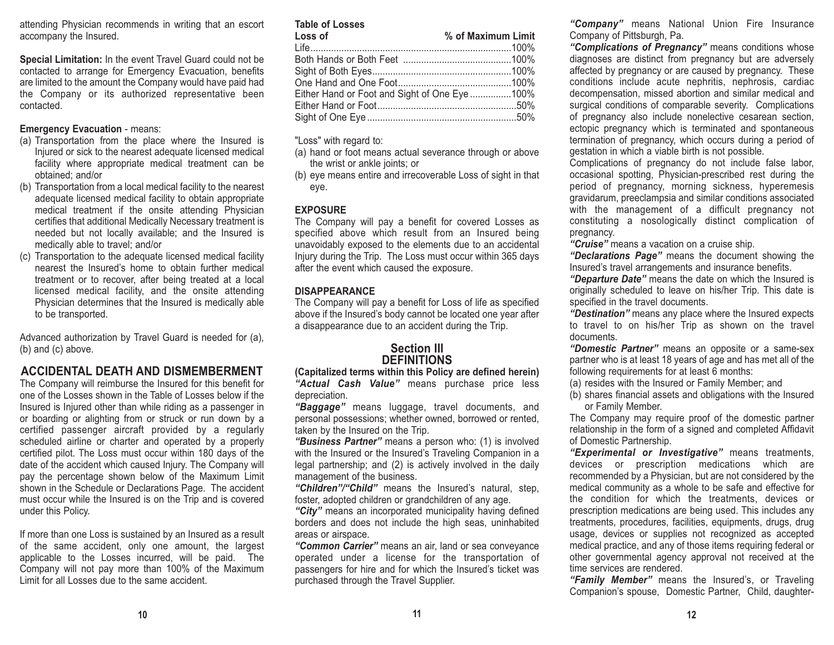attending Physician recommends in writing that an escort accompany the Insured.

**Special Limitation:** In the event Travel Guard could not be contacted to arrange for Emergency Evacuation, benefits are limited to the amount the Company would have paid had the Company or its authorized representative been contacted.

#### **Emergency Evacuation** - means:

- (a) Transportation from the place where the Insured is Injured or sick to the nearest adequate licensed medical facility where appropriate medical treatment can be obtained; and/or
- (b) Transportation from a local medical facility to the nearest adequate licensed medical facility to obtain appropriate medical treatment if the onsite attending Physician certifies that additional Medically Necessary treatment is needed but not locally available; and the Insured is medically able to travel; and/or
- (c) Transportation to the adequate licensed medical facility nearest the Insured's home to obtain further medicaltreatment or to recover, after being treated at a local licensed medical facility, and the onsite attending Physician determines that the Insured is medically able to be transported.

Advanced authorization by Travel Guard is needed for (a), (b) and (c) above.

## **ACCIDENTAL DEATH AND DISMEMBERMENT**

The Company will reimburse the Insured for this benefit for one of the Losses shown in the Table of Losses below if theInsured is Injured other than while riding as a passenger in or boarding or alighting from or struck or run down by a certified passenger aircraft provided by a regularly scheduled airline or charter and operated by a properly certified pilot. The Loss must occur within 180 days of the date of the accident which caused Injury. The Company will pay the percentage shown below of the Maximum Limit shown in the Schedule or Declarations Page. The accident must occur while the Insured is on the Trip and is covered under this Policy.

If more than one Loss is sustained by an Insured as a result of the same accident, only one amount, the largest applicable to the Losses incurred, will be paid. The Company will not pay more than 100% of the Maximum Limit for all Losses due to the same accident.

#### **Table of Losses**

| Loss of                                       | % of Maximum Limit |
|-----------------------------------------------|--------------------|
|                                               |                    |
|                                               |                    |
|                                               |                    |
|                                               |                    |
| Either Hand or Foot and Sight of One Eye 100% |                    |
|                                               |                    |
|                                               |                    |

"Loss" with regard to:

- (a) hand or foot means actual severance through or above the wrist or ankle joints; or
- (b) eye means entire and irrecoverable Loss of sight in that eye.

### **EXPOSURE**

The Company will pay a benefit for covered Losses as specified above which result from an Insured being unavoidably exposed to the elements due to an accidental Injury during the Trip. The Loss must occur within 365 days after the event which caused the exposure.

### **DISAPPEARANCE**

The Company will pay a benefit for Loss of life as specified above if the Insured's body cannot be located one year after a disappearance due to an accident during the Trip.

### **Section IIIDEFINITIONS**

**(Capitalized terms within this Policy are defined herein)** *"Actual Cash Value"* means purchase price less depreciation.

*"Baggage"* means luggage, travel documents, and personal possessions; whether owned, borrowed or rented, taken by the Insured on the Trip.

*"Business Partner"* means a person who: (1) is involved with the Insured or the Insured's Traveling Companion in a legal partnership; and (2) is actively involved in the daily management of the business.

*"Children"/"Child"* means the Insured's natural, step, foster, adopted children or grandchildren of any age.

*"City"* means an incorporated municipality having defined borders and does not include the high seas, uninhabited areas or airspace.

*"Common Carrier"* means an air, land or sea conveyance operated under a license for the transportation of passengers for hire and for which the Insured's ticket was purchased through the Travel Supplier.

*"Company"* means National Union Fire Insurance Company of Pittsburgh, Pa.

*"Complications of Pregnancy"* means conditions whose diagnoses are distinct from pregnancy but are adversely affected by pregnancy or are caused by pregnancy. These conditions include acute nephritis, nephrosis, cardiac decompensation, missed abortion and similar medical and surgical conditions of comparable severity. Complications of pregnancy also include nonelective cesarean section, ectopic pregnancy which is terminated and spontaneous termination of pregnancy, which occurs during a period of gestation in which a viable birth is not possible.

Complications of pregnancy do not include false labor, occasional spotting, Physician-prescribed rest during the period of pregnancy, morning sickness, hyperemesis gravidarum, preeclampsia and similar conditions associated with the management of a difficult pregnancy not constituting a nosologically distinct complication of pregnancy.

*"Cruise"* means a vacation on a cruise ship.

*"Declarations Page"* means the document showing the Insured's travel arrangements and insurance benefits.

*"Departure Date"* means the date on which the Insured is originally scheduled to leave on his/her Trip. This date is specified in the travel documents.

*"Destination"* means any place where the Insured expects to travel to on his/her Trip as shown on the travel documents.

*"Domestic Partner"* means an opposite or a same-sex partner who is at least 18 years of age and has met all of the following requirements for at least 6 months:

- (a) resides with the Insured or Family Member; and
- (b) shares financial assets and obligations with the Insured or Family Member.

The Company may require proof of the domestic partner relationship in the form of a signed and completed Affidavit of Domestic Partnership.

*"Experimental or Investigative"* means treatments, devices or prescription medications which are recommended by a Physician, but are not considered by the medical community as a whole to be safe and effective for the condition for which the treatments, devices or prescription medications are being used. This includes any treatments, procedures, facilities, equipments, drugs, drug usage, devices or supplies not recognized as accepted medical practice, and any of those items requiring federal or other governmental agency approval not received at the time services are rendered.

*"Family Member"* means the Insured's, or Traveling Companion's spouse, Domestic Partner, Child, daughter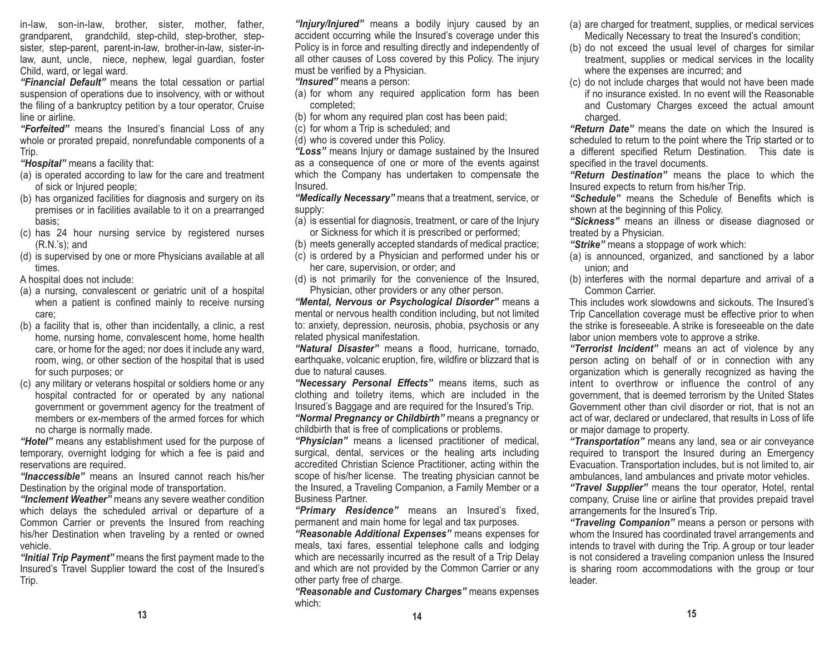in-law, son-in-law, brother, sister, mother, father, grandparent, grandchild, step-child, step-brother, stepsister, step-parent, parent-in-law, brother-in-law, sister-inlaw, aunt, uncle, niece, nephew, legal guardian, foster Child, ward, or legal ward.

*"Financial Default"* means the total cessation or partial suspension of operations due to insolvency, with or without the filing of a bankruptcy petition by a tour operator, Cruise line or airline.

*"Forfeited"* means the Insured's financial Loss of any whole or prorated prepaid, nonrefundable components of a Trip.

*"Hospital"* means a facility that:

- (a) is operated according to law for the care and treatment of sick or Injured people;
- (b) has organized facilities for diagnosis and surgery on its premises or in facilities available to it on a prearranged basis;
- (c) has 24 hour nursing service by registered nurses (R.N.'s); and
- (d) is supervised by one or more Physicians available at all times.

A hospital does not include:

- (a) a nursing, convalescent or geriatric unit of a hospital when a patient is confined mainly to receive nursing care;
- (b) a facility that is, other than incidentally, a clinic, a rest home, nursing home, convalescent home, home health care, or home for the aged; nor does it include any ward, room, wing, or other section of the hospital that is used for such purposes; or
- (c) any military or veterans hospital or soldiers home or any hospital contracted for or operated by any national government or government agency for the treatment of members or ex-members of the armed forces for whichno charge is normally made.

*"Hotel"* means any establishment used for the purpose of temporary, overnight lodging for which a fee is paid and reservations are required.

*"Inaccessible"* means an Insured cannot reach his/her Destination by the original mode of transportation.

*"Inclement Weather"* means any severe weather condition which delays the scheduled arrival or departure of a Common Carrier or prevents the Insured from reaching his/her Destination when traveling by a rented or owned vehicle.

*"Initial Trip Payment"* means the first payment made to the Insured's Travel Supplier toward the cost of the Insured's Trip.

*"Injury/Injured"* means a bodily injury caused by an accident occurring while the Insured's coverage under this Policy is in force and resulting directly and independently of all other causes of Loss covered by this Policy. The injury must be verified by a Physician.

*"Insured"* means a person:

- (a) for whom any required application form has been completed;
- (b) for whom any required plan cost has been paid;

(c) for whom a Trip is scheduled; and

(d) who is covered under this Policy.

*"Loss"* means Injury or damage sustained by the Insured as a consequence of one or more of the events against which the Company has undertaken to compensate the Insured.

*"Medically Necessary"* means that a treatment, service, or supply:

- (a) is essential for diagnosis, treatment, or care of the Injury or Sickness for which it is prescribed or performed;
- (b) meets generally accepted standards of medical practice;
- (c) is ordered by a Physician and performed under his or her care, supervision, or order; and
- (d) is not primarily for the convenience of the Insured, Physician, other providers or any other person.

*"Mental, Nervous or Psychological Disorder"* means a mental or nervous health condition including, but not limited to: anxiety, depression, neurosis, phobia, psychosis or any related physical manifestation.

*"Natural Disaster"* means a flood, hurricane, tornado, earthquake, volcanic eruption, fire, wildfire or blizzard that is due to natural causes.

*"Necessary Personal Effects"* means items, such as clothing and toiletry items, which are included in the Insured's Baggage and are required for the Insured's Trip. *"Normal Pregnancy or Childbirth"* means a pregnancy or childbirth that is free of complications or problems.

*"Physician"* means a licensed practitioner of medical, surgical, dental, services or the healing arts including accredited Christian Science Practitioner, acting within the scope of his/her license. The treating physician cannot be the Insured, a Traveling Companion, a Family Member or a Business Partner.

*"Primary Residence"* means an Insured's fixed, permanent and main home for legal and tax purposes.

*"Reasonable Additional Expenses"* means expenses for meals, taxi fares, essential telephone calls and lodging which are necessarily incurred as the result of a Trip Delay and which are not provided by the Common Carrier or any other party free of charge.

*"Reasonable and Customary Charges"* means expenses which:

- (a) are charged for treatment, supplies, or medical services Medically Necessary to treat the Insured's condition;
- (b) do not exceed the usual level of charges for similar treatment, supplies or medical services in the locality where the expenses are incurred; and
- (c) do not include charges that would not have been made if no insurance existed. In no event will the Reasonable and Customary Charges exceed the actual amount charged.

*"Return Date"* means the date on which the Insured is scheduled to return to the point where the Trip started or to a different specified Return Destination. This date is specified in the travel documents.

*"Return Destination"* means the place to which the Insured expects to return from his/her Trip.

*"Schedule"* means the Schedule of Benefits which is shown at the beginning of this Policy.

*"Sickness"* means an illness or disease diagnosed or treated by a Physician.

- *"Strike"* means a stoppage of work which:
- (a) is announced, organized, and sanctioned by a labor union; and
- (b) interferes with the normal departure and arrival of a Common Carrier.

This includes work slowdowns and sickouts. The Insured'sTrip Cancellation coverage must be effective prior to when the strike is foreseeable. A strike is foreseeable on the datelabor union members vote to approve a strike.

*"Terrorist Incident"* means an act of violence by any person acting on behalf of or in connection with any organization which is generally recognized as having the intent to overthrow or influence the control of any government, that is deemed terrorism by the United States Government other than civil disorder or riot, that is not an act of war, declared or undeclared, that results in Loss of life or major damage to property.

*"Transportation"* means any land, sea or air conveyance required to transport the Insured during an Emergency Evacuation. Transportation includes, but is not limited to, air ambulances, land ambulances and private motor vehicles.

*"Travel Supplier"* means the tour operator, Hotel, rental company, Cruise line or airline that provides prepaid travel arrangements for the Insured's Trip.

*"Traveling Companion"* means a person or persons with whom the Insured has coordinated travel arrangements and intends to travel with during the Trip. A group or tour leader is not considered a traveling companion unless the Insured is sharing room accommodations with the group or tour leader.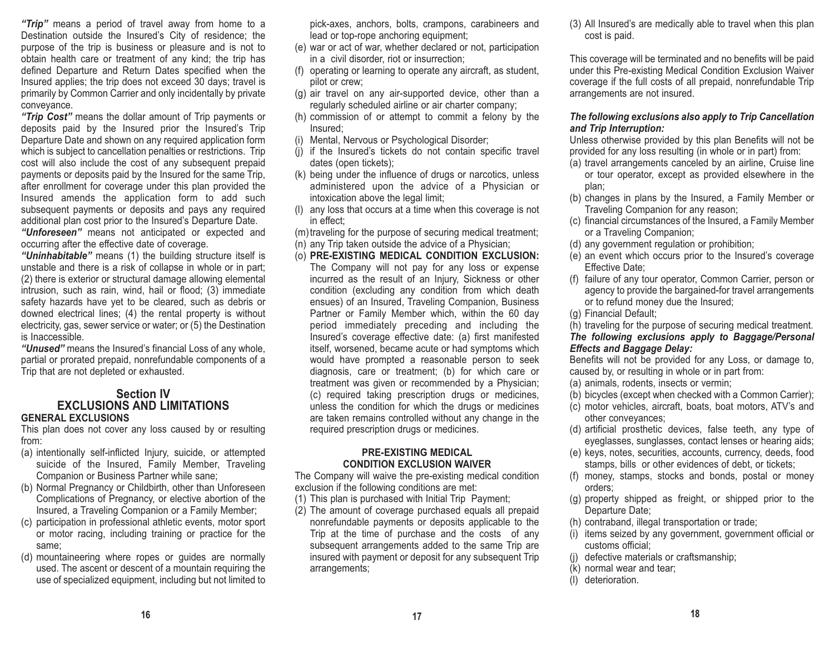*"Trip"* means a period of travel away from home to a Destination outside the Insured's City of residence; the purpose of the trip is business or pleasure and is not to obtain health care or treatment of any kind; the trip has defined Departure and Return Dates specified when the Insured applies; the trip does not exceed 30 days; travel is primarily by Common Carrier and only incidentally by private conveyance.

*"Trip Cost"* means the dollar amount of Trip payments or deposits paid by the Insured prior the Insured's Trip Departure Date and shown on any required application form which is subject to cancellation penalties or restrictions. Trip cost will also include the cost of any subsequent prepaid payments or deposits paid by the Insured for the same Trip, after enrollment for coverage under this plan provided the Insured amends the application form to add such subsequent payments or deposits and pays any required additional plan cost prior to the Insured's Departure Date.

*"Unforeseen"* means not anticipated or expected and occurring after the effective date of coverage.

*"Uninhabitable"* means (1) the building structure itself is unstable and there is a risk of collapse in whole or in part; (2) there is exterior or structural damage allowing elemental intrusion, such as rain, wind, hail or flood; (3) immediate safety hazards have yet to be cleared, such as debris or downed electrical lines; (4) the rental property is without electricity, gas, sewer service or water; or (5) the Destination is Inaccessible.

*"Unused"* means the Insured's financial Loss of any whole, partial or prorated prepaid, nonrefundable components of a Trip that are not depleted or exhausted.

## **Section IVEXCLUSIONS AND LIMITATIONS**

#### **GENERAL EXCLUSIONS**

This plan does not cover any loss caused by or resulting from:

- (a) intentionally self-inflicted Injury, suicide, or attempted suicide of the Insured, Family Member, Traveling Companion or Business Partner while sane;
- (b) Normal Pregnancy or Childbirth, other than Unforeseen Complications of Pregnancy, or elective abortion of the Insured, a Traveling Companion or a Family Member;
- (c) participation in professional athletic events, motor sport or motor racing, including training or practice for the same;
- (d) mountaineering where ropes or guides are normally used. The ascent or descent of a mountain requiring the use of specialized equipment, including but not limited to

pick-axes, anchors, bolts, crampons, carabineers and lead or top-rope anchoring equipment;

- (e) war or act of war, whether declared or not, participation in a civil disorder, riot or insurrection;
- (f) operating or learning to operate any aircraft, as student, pilot or crew;
- (g) air travel on any air-supported device, other than a regularly scheduled airline or air charter company;
- (h) commission of or attempt to commit a felony by the Insured;
- (i) Mental, Nervous or Psychological Disorder;
- (j) if the Insured's tickets do not contain specific travel dates (open tickets);
- (k) being under the influence of drugs or narcotics, unless administered upon the advice of a Physician or intoxication above the legal limit;
- (l) any loss that occurs at a time when this coverage is not in effect;

(m) traveling for the purpose of securing medical treatment;

- (n) any Trip taken outside the advice of a Physician;
- (o) **PRE-EXISTING MEDICAL CONDITION EXCLUSION:** The Company will not pay for any loss or expense incurred as the result of an Injury, Sickness or other condition (excluding any condition from which death ensues) of an Insured, Traveling Companion, Business Partner or Family Member which, within the 60 day period immediately preceding and including the Insured's coverage effective date: (a) first manifested itself, worsened, became acute or had symptoms which would have prompted a reasonable person to seek diagnosis, care or treatment; (b) for which care or treatment was given or recommended by a Physician; (c) required taking prescription drugs or medicines, unless the condition for which the drugs or medicines are taken remains controlled without any change in the required prescription drugs or medicines.

#### **PRE-EXISTING MEDICAL CONDITION EXCLUSION WAIVER**

The Company will waive the pre-existing medical condition exclusion if the following conditions are met:

- (1) This plan is purchased with Initial Trip Payment;
- (2) The amount of coverage purchased equals all prepaid nonrefundable payments or deposits applicable to the Trip at the time of purchase and the costs of any subsequent arrangements added to the same Trip are insured with payment or deposit for any subsequent Trip arrangements;

(3) All Insured's are medically able to travel when this plan cost is paid.

This coverage will be terminated and no benefits will be paid under this Pre-existing Medical Condition Exclusion Waiver coverage if the full costs of all prepaid, nonrefundable Trip arrangements are not insured.

#### *The following exclusions also apply to Trip Cancellation and Trip Interruption:*

Unless otherwise provided by this plan Benefits will not be provided for any loss resulting (in whole or in part) from:

- (a) travel arrangements canceled by an airline, Cruise line or tour operator, except as provided elsewhere in the plan;
- (b) changes in plans by the Insured, a Family Member or Traveling Companion for any reason;
- (c) financial circumstances of the Insured, a Family Member or a Traveling Companion;
- (d) any government regulation or prohibition;
- (e) an event which occurs prior to the Insured's coverage Effective Date;
- (f) failure of any tour operator, Common Carrier, person or agency to provide the bargained-for travel arrangements or to refund money due the Insured;
- (g) Financial Default;

(h) traveling for the purpose of securing medical treatment. *The following exclusions apply to Baggage/Personal Effects and Baggage Delay:* 

Benefits will not be provided for any Loss, or damage to, caused by, or resulting in whole or in part from:

- (a) animals, rodents, insects or vermin;
- (b) bicycles (except when checked with a Common Carrier);
- (c) motor vehicles, aircraft, boats, boat motors, ATV's and other conveyances;
- (d) artificial prosthetic devices, false teeth, any type of eyeglasses, sunglasses, contact lenses or hearing aids;
- (e) keys, notes, securities, accounts, currency, deeds, food stamps, bills or other evidences of debt, or tickets;
- (f) money, stamps, stocks and bonds, postal or money orders;
- (g) property shipped as freight, or shipped prior to the Departure Date;
- (h) contraband, illegal transportation or trade;
- (i) items seized by any government, government official or customs official;
- (j) defective materials or craftsmanship;
- (k) normal wear and tear;
- (l) deterioration.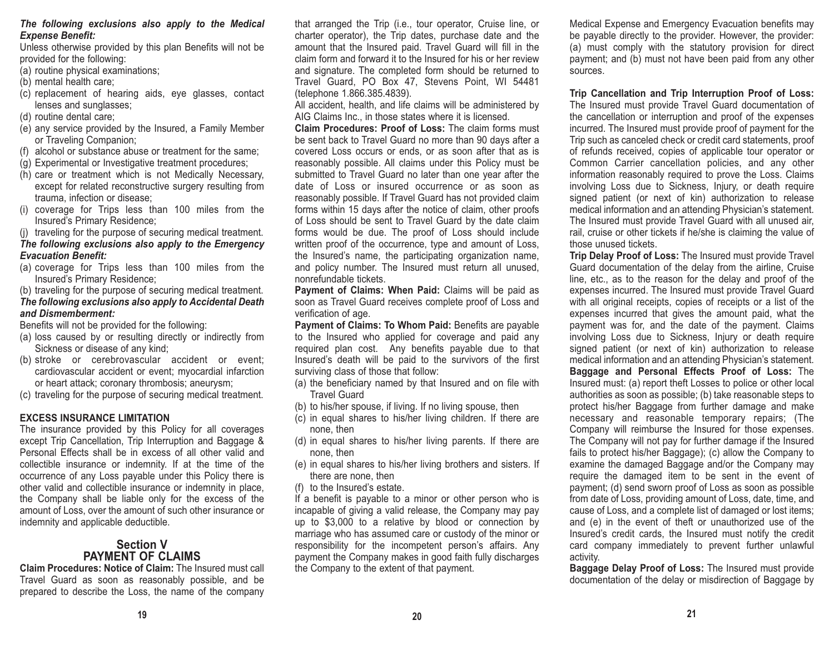#### *The following exclusions also apply to the Medical Expense Benefit:*

Unless otherwise provided by this plan Benefits will not be provided for the following:

- (a) routine physical examinations;
- (b) mental health care;
- (c) replacement of hearing aids, eye glasses, contact lenses and sunglasses;
- (d) routine dental care;
- (e) any service provided by the Insured, a Family Member or Traveling Companion;
- (f) alcohol or substance abuse or treatment for the same;
- (g) Experimental or Investigative treatment procedures;
- (h) care or treatment which is not Medically Necessary, except for related reconstructive surgery resulting from trauma, infection or disease;
- (i) coverage for Trips less than 100 miles from the Insured's Primary Residence;
- (j) traveling for the purpose of securing medical treatment.

## *The following exclusions also apply to the Emergency Evacuation Benefit:*

- (a) coverage for Trips less than 100 miles from the Insured's Primary Residence;
- (b) traveling for the purpose of securing medical treatment.

#### *The following exclusions also apply to Accidental Death and Dismemberment:*

Benefits will not be provided for the following:

- (a) loss caused by or resulting directly or indirectly from Sickness or disease of any kind;
- (b) stroke or cerebrovascular accident or event; cardiovascular accident or event; myocardial infarction or heart attack; coronary thrombosis; aneurysm;
- (c) traveling for the purpose of securing medical treatment.

## **EXCESS INSURANCE LIMITATION**

The insurance provided by this Policy for all coverages except Trip Cancellation, Trip Interruption and Baggage & Personal Effects shall be in excess of all other valid andcollectible insurance or indemnity. If at the time of the occurrence of any Loss payable under this Policy there is other valid and collectible insurance or indemnity in place, the Company shall be liable only for the excess of the amount of Loss, over the amount of such other insurance or indemnity and applicable deductible.

## **Section VPAYMENT OF CLAIMS**

**Claim Procedures: Notice of Claim:** The Insured must call Travel Guard as soon as reasonably possible, and be prepared to describe the Loss, the name of the company that arranged the Trip (i.e., tour operator, Cruise line, or charter operator), the Trip dates, purchase date and the amount that the Insured paid. Travel Guard will fill in the claim form and forward it to the Insured for his or her reviewand signature. The completed form should be returned to Travel Guard, PO Box 47, Stevens Point, WI 54481 (telephone 1.866.385.4839).

All accident, health, and life claims will be administered by AIG Claims Inc., in those states where it is licensed.

**Claim Procedures: Proof of Loss:** The claim forms must be sent back to Travel Guard no more than 90 days after a covered Loss occurs or ends, or as soon after that as is reasonably possible. All claims under this Policy must be submitted to Travel Guard no later than one year after the date of Loss or insured occurrence or as soon asreasonably possible. If Travel Guard has not provided claim forms within 15 days after the notice of claim, other proofs of Loss should be sent to Travel Guard by the date claim forms would be due. The proof of Loss should include written proof of the occurrence, type and amount of Loss, the Insured's name, the participating organization name, and policy number. The Insured must return all unused, nonrefundable tickets.

**Payment of Claims: When Paid:** Claims will be paid as soon as Travel Guard receives complete proof of Loss and verification of age.

**Payment of Claims: To Whom Paid:** Benefits are payable to the Insured who applied for coverage and paid any required plan cost. Any benefits payable due to that Insured's death will be paid to the survivors of the first surviving class of those that follow:

- (a) the beneficiary named by that Insured and on file with Travel Guard
- (b) to his/her spouse, if living. If no living spouse, then
- (c) in equal shares to his/her living children. If there are none, then
- (d) in equal shares to his/her living parents. If there are none, then
- (e) in equal shares to his/her living brothers and sisters. If there are none, then
- (f) to the Insured's estate.

If a benefit is payable to a minor or other person who is incapable of giving a valid release, the Company may pay up to \$3,000 to a relative by blood or connection by marriage who has assumed care or custody of the minor or responsibility for the incompetent person's affairs. Any payment the Company makes in good faith fully discharges the Company to the extent of that payment.

Medical Expense and Emergency Evacuation benefits may be payable directly to the provider. However, the provider: (a) must comply with the statutory provision for direct payment; and (b) must not have been paid from any other sources.

**Trip Cancellation and Trip Interruption Proof of Loss:** The Insured must provide Travel Guard documentation of the cancellation or interruption and proof of the expenses incurred. The Insured must provide proof of payment for the Trip such as canceled check or credit card statements, proof of refunds received, copies of applicable tour operator or Common Carrier cancellation policies, and any other information reasonably required to prove the Loss. Claims involving Loss due to Sickness, Injury, or death require signed patient (or next of kin) authorization to release medical information and an attending Physician's statement. The Insured must provide Travel Guard with all unused air, rail, cruise or other tickets if he/she is claiming the value of those unused tickets.

**Trip Delay Proof of Loss:** The Insured must provide Travel Guard documentation of the delay from the airline, Cruise line, etc., as to the reason for the delay and proof of the expenses incurred. The Insured must provide Travel Guard with all original receipts, copies of receipts or a list of the expenses incurred that gives the amount paid, what the payment was for, and the date of the payment. Claims involving Loss due to Sickness, Injury or death require signed patient (or next of kin) authorization to release medical information and an attending Physician's statement. **Baggage and Personal Effects Proof of Loss:** The Insured must: (a) report theft Losses to police or other local authorities as soon as possible; (b) take reasonable steps to protect his/her Baggage from further damage and make necessary and reasonable temporary repairs; (The Company will reimburse the Insured for those expenses. The Company will not pay for further damage if the Insured fails to protect his/her Baggage); (c) allow the Company to examine the damaged Baggage and/or the Company may require the damaged item to be sent in the event of payment; (d) send sworn proof of Loss as soon as possible from date of Loss, providing amount of Loss, date, time, and cause of Loss, and a complete list of damaged or lost items; and (e) in the event of theft or unauthorized use of the Insured's credit cards, the Insured must notify the credit card company immediately to prevent further unlawful activity.

**Baggage Delay Proof of Loss:** The Insured must provide documentation of the delay or misdirection of Baggage by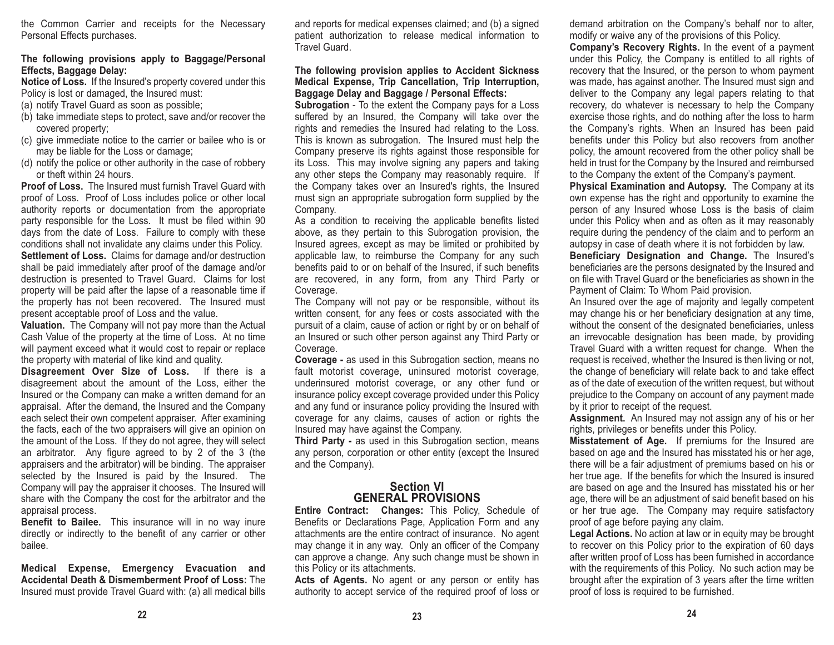the Common Carrier and receipts for the Necessary Personal Effects purchases.

#### **The following provisions apply to Baggage/Personal Effects, Baggage Delay:**

**Notice of Loss.** If the Insured's property covered under this Policy is lost or damaged, the Insured must:

- (a) notify Travel Guard as soon as possible;
- (b) take immediate steps to protect, save and/or recover the covered property;
- (c) give immediate notice to the carrier or bailee who is or may be liable for the Loss or damage;
- (d) notify the police or other authority in the case of robbery or theft within 24 hours.

**Proof of Loss.** The Insured must furnish Travel Guard withproof of Loss. Proof of Loss includes police or other local authority reports or documentation from the appropriate party responsible for the Loss. It must be filed within 90 days from the date of Loss. Failure to comply with these conditions shall not invalidate any claims under this Policy. **Settlement of Loss.** Claims for damage and/or destruction shall be paid immediately after proof of the damage and/or destruction is presented to Travel Guard. Claims for lost property will be paid after the lapse of a reasonable time if the property has not been recovered. The Insured must present acceptable proof of Loss and the value.

**Valuation.** The Company will not pay more than the Actual Cash Value of the property at the time of Loss. At no time will payment exceed what it would cost to repair or replace the property with material of like kind and quality.

**Disagreement Over Size of Loss.** If there is a disagreement about the amount of the Loss, either the Insured or the Company can make a written demand for an appraisal. After the demand, the Insured and the Company each select their own competent appraiser. After examining the facts, each of the two appraisers will give an opinion on the amount of the Loss. If they do not agree, they will select an arbitrator. Any figure agreed to by 2 of the 3 (the appraisers and the arbitrator) will be binding. The appraiser selected by the Insured is paid by the Insured. The Company will pay the appraiser it chooses. The Insured will share with the Company the cost for the arbitrator and the appraisal process.

**Benefit to Bailee.** This insurance will in no way inure directly or indirectly to the benefit of any carrier or other bailee.

**Medical Expense, Emergency Evacuation and Accidental Death & Dismemberment Proof of Loss:** TheInsured must provide Travel Guard with: (a) all medical bills and reports for medical expenses claimed; and (b) a signed patient authorization to release medical information to Travel Guard.

#### **The following provision applies to Accident Sickness Medical Expense, Trip Cancellation, Trip Interruption, Baggage Delay and Baggage / Personal Effects:**

**Subrogation** - To the extent the Company pays for a Loss suffered by an Insured, the Company will take over the rights and remedies the Insured had relating to the Loss. This is known as subrogation. The Insured must help the Company preserve its rights against those responsible for its Loss. This may involve signing any papers and taking any other steps the Company may reasonably require. If the Company takes over an Insured's rights, the Insured must sign an appropriate subrogation form supplied by the Company.

As a condition to receiving the applicable benefits listed above, as they pertain to this Subrogation provision, the Insured agrees, except as may be limited or prohibited by applicable law, to reimburse the Company for any such benefits paid to or on behalf of the Insured, if such benefits are recovered, in any form, from any Third Party or Coverage.

The Company will not pay or be responsible, without its written consent, for any fees or costs associated with the pursuit of a claim, cause of action or right by or on behalf of an Insured or such other person against any Third Party or Coverage.

**Coverage -** as used in this Subrogation section, means no fault motorist coverage, uninsured motorist coverage, underinsured motorist coverage, or any other fund or insurance policy except coverage provided under this Policy and any fund or insurance policy providing the Insured with coverage for any claims, causes of action or rights the Insured may have against the Company.

**Third Party -** as used in this Subrogation section, means any person, corporation or other entity (except the Insured and the Company).

### **Section VIGENERAL PROVISIONS**

**Entire Contract: Changes:** This Policy, Schedule of Benefits or Declarations Page, Application Form and any attachments are the entire contract of insurance. No agent may change it in any way. Only an officer of the Company can approve a change. Any such change must be shown in this Policy or its attachments.

Acts of Agents. No agent or any person or entity has authority to accept service of the required proof of loss or demand arbitration on the Company's behalf nor to alter, modify or waive any of the provisions of this Policy.

**Company's Recovery Rights.** In the event of a payment under this Policy, the Company is entitled to all rights of recovery that the Insured, or the person to whom payment was made, has against another. The Insured must sign and deliver to the Company any legal papers relating to that recovery, do whatever is necessary to help the Company exercise those rights, and do nothing after the loss to harm the Company's rights. When an Insured has been paid benefits under this Policy but also recovers from another policy, the amount recovered from the other policy shall be held in trust for the Company by the Insured and reimbursed to the Company the extent of the Company's payment.

**Physical Examination and Autopsy.** The Company at its own expense has the right and opportunity to examine the person of any Insured whose Loss is the basis of claim under this Policy when and as often as it may reasonably require during the pendency of the claim and to perform an autopsy in case of death where it is not forbidden by law.

**Beneficiary Designation and Change.** The Insured's beneficiaries are the persons designated by the Insured and on file with Travel Guard or the beneficiaries as shown in thePayment of Claim: To Whom Paid provision.

An Insured over the age of majority and legally competent may change his or her beneficiary designation at any time, without the consent of the designated beneficiaries, unless an irrevocable designation has been made, by providing Travel Guard with a written request for change. When the request is received, whether the Insured is then living or not, the change of beneficiary will relate back to and take effect as of the date of execution of the written request, but without prejudice to the Company on account of any payment made by it prior to receipt of the request.

**Assignment.** An Insured may not assign any of his or her rights, privileges or benefits under this Policy.

**Misstatement of Age.** If premiums for the Insured are based on age and the Insured has misstated his or her age, there will be a fair adjustment of premiums based on his or her true age. If the benefits for which the Insured is insured are based on age and the Insured has misstated his or her age, there will be an adjustment of said benefit based on his or her true age. The Company may require satisfactory proof of age before paying any claim.

**Legal Actions.** No action at law or in equity may be brought to recover on this Policy prior to the expiration of 60 days after written proof of Loss has been furnished in accordance with the requirements of this Policy. No such action may be brought after the expiration of 3 years after the time written proof of loss is required to be furnished.